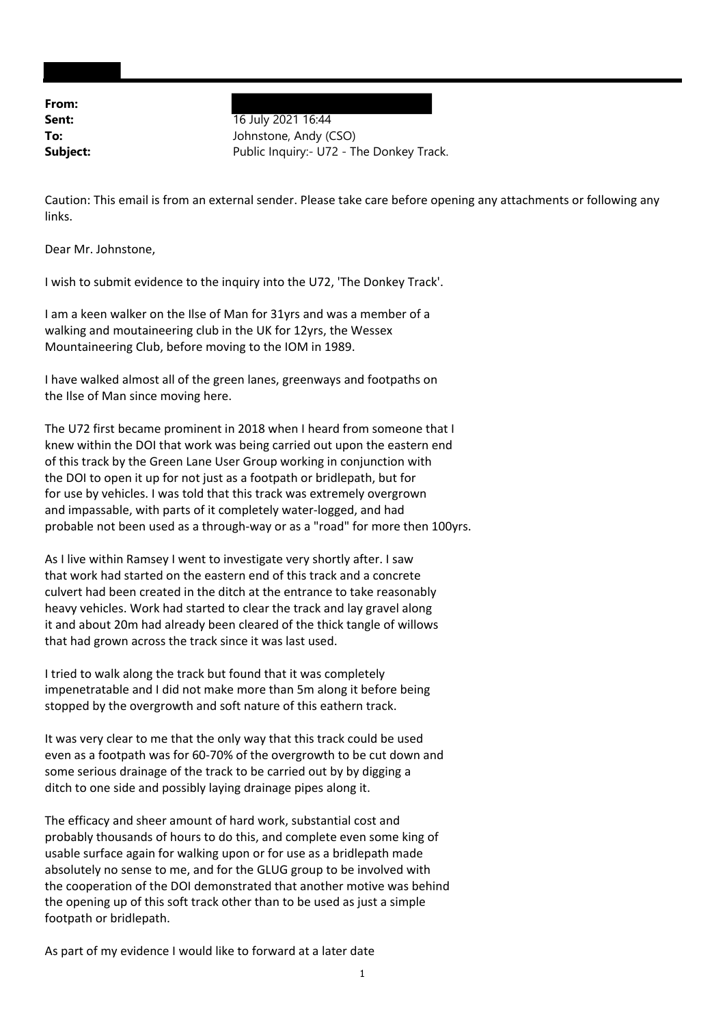**From:**

**Sent:** 16 July 2021 16:44 **To:** Johnstone, Andy (CSO) **Subject:** Public Inquiry: U72 - The Donkey Track.

Caution: This email is from an external sender. Please take care before opening any attachments or following any links.

Dear Mr. Johnstone,

I wish to submit evidence to the inquiry into the U72, 'The Donkey Track'.

I am a keen walker on the Ilse of Man for 31yrs and was a member of a walking and moutaineering club in the UK for 12yrs, the Wessex Mountaineering Club, before moving to the IOM in 1989.

I have walked almost all of the green lanes, greenways and footpaths on the Ilse of Man since moving here.

The U72 first became prominent in 2018 when I heard from someone that I knew within the DOI that work was being carried out upon the eastern end of this track by the Green Lane User Group working in conjunction with the DOI to open it up for not just as a footpath or bridlepath, but for for use by vehicles. I was told that this track was extremely overgrown and impassable, with parts of it completely water‐logged, and had probable not been used as a through‐way or as a "road" for more then 100yrs.

As I live within Ramsey I went to investigate very shortly after. I saw that work had started on the eastern end of this track and a concrete culvert had been created in the ditch at the entrance to take reasonably heavy vehicles. Work had started to clear the track and lay gravel along it and about 20m had already been cleared of the thick tangle of willows that had grown across the track since it was last used.

I tried to walk along the track but found that it was completely impenetratable and I did not make more than 5m along it before being stopped by the overgrowth and soft nature of this eathern track.

It was very clear to me that the only way that this track could be used even as a footpath was for 60‐70% of the overgrowth to be cut down and some serious drainage of the track to be carried out by by digging a ditch to one side and possibly laying drainage pipes along it.

The efficacy and sheer amount of hard work, substantial cost and probably thousands of hours to do this, and complete even some king of usable surface again for walking upon or for use as a bridlepath made absolutely no sense to me, and for the GLUG group to be involved with the cooperation of the DOI demonstrated that another motive was behind the opening up of this soft track other than to be used as just a simple footpath or bridlepath.

As part of my evidence I would like to forward at a later date